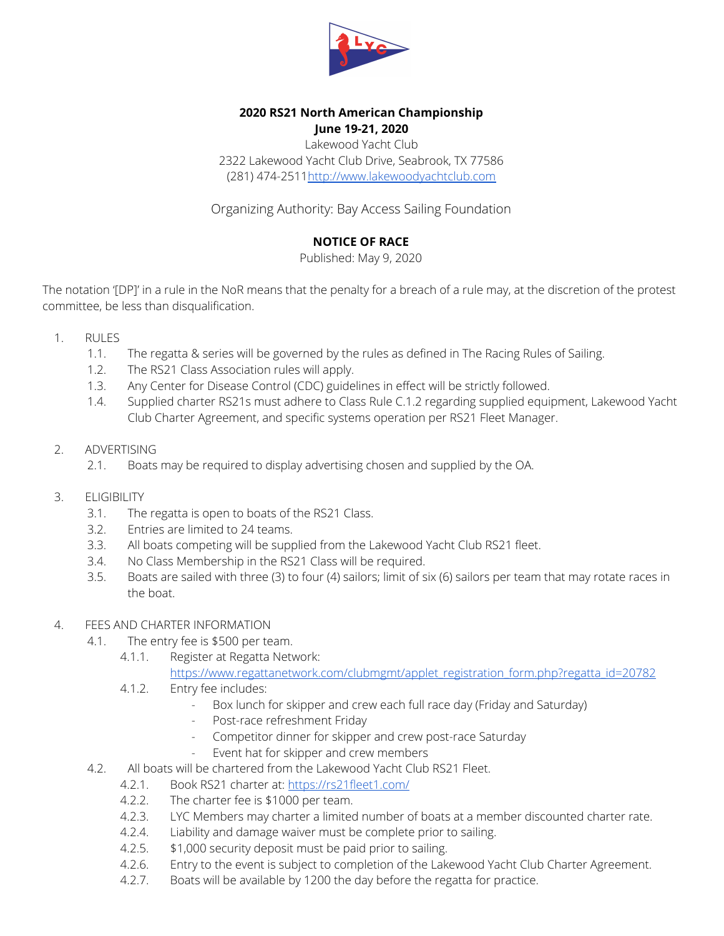

#### **2020 RS21 North American Championship June 19-21, 2020**

Lakewood Yacht Club 2322 Lakewood Yacht Club Drive, Seabrook, TX 77586 (281) 474-251[1http://www.lakewoodyachtclub.com](http://www.lakewoodyachtclub.com/)

Organizing Authority: Bay Access Sailing Foundation

## **NOTICE OF RACE**

Published: May 9, 2020

The notation '[DP]' in a rule in the NoR means that the penalty for a breach of a rule may, at the discretion of the protest committee, be less than disqualification.

- 1. RULES
	- 1.1. The regatta & series will be governed by the rules as defined in The Racing Rules of Sailing.
	- 1.2. The RS21 Class Association rules will apply.
	- 1.3. Any Center for Disease Control (CDC) guidelines in effect will be strictly followed.
	- 1.4. Supplied charter RS21s must adhere to Class Rule C.1.2 regarding supplied equipment, Lakewood Yacht Club Charter Agreement, and specific systems operation per RS21 Fleet Manager.
- 2. ADVERTISING
	- 2.1. Boats may be required to display advertising chosen and supplied by the OA.
- 3. ELIGIBILITY
	- 3.1. The regatta is open to boats of the RS21 Class.
	- 3.2. Entries are limited to 24 teams.
	- 3.3. All boats competing will be supplied from the Lakewood Yacht Club RS21 fleet.
	- 3.4. No Class Membership in the RS21 Class will be required.
	- 3.5. Boats are sailed with three (3) to four (4) sailors; limit of six (6) sailors per team that may rotate races in the boat.
- 4. FEES AND CHARTER INFORMATION
	- 4.1. The entry fee is \$500 per team.
		- 4.1.1. Register at Regatta Network: [https://www.regattanetwork.com/clubmgmt/applet\\_registration\\_form.php?regatta\\_id=20782](https://www.regattanetwork.com/clubmgmt/applet_registration_form.php?regatta_id=20782)
		- 4.1.2. Entry fee includes:
			- Box lunch for skipper and crew each full race day (Friday and Saturday)
			- Post-race refreshment Friday
			- Competitor dinner for skipper and crew post-race Saturday
			- Event hat for skipper and crew members
	- 4.2. All boats will be chartered from the Lakewood Yacht Club RS21 Fleet.
		- 4.2.1. Book RS21 charter at: <https://rs21fleet1.com/>
		- 4.2.2. The charter fee is \$1000 per team.
		- 4.2.3. LYC Members may charter a limited number of boats at a member discounted charter rate.
		- 4.2.4. Liability and damage waiver must be complete prior to sailing.
		- 4.2.5. \$1,000 security deposit must be paid prior to sailing.
		- 4.2.6. Entry to the event is subject to completion of the Lakewood Yacht Club Charter Agreement.
		- 4.2.7. Boats will be available by 1200 the day before the regatta for practice.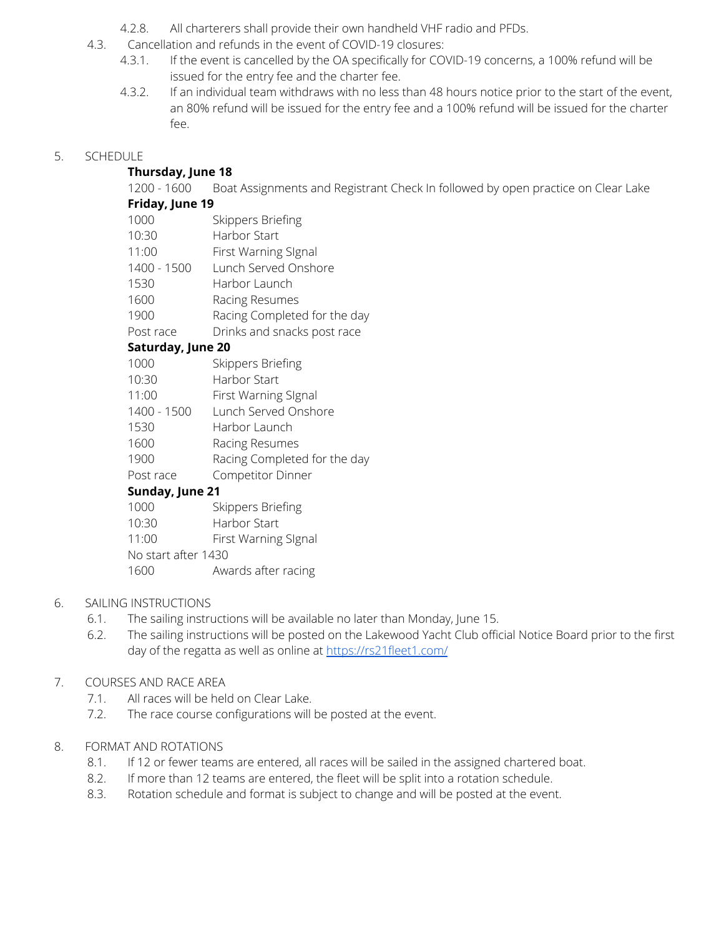- 4.2.8. All charterers shall provide their own handheld VHF radio and PFDs.
- 4.3. Cancellation and refunds in the event of COVID-19 closures:
	- 4.3.1. If the event is cancelled by the OA specifically for COVID-19 concerns, a 100% refund will be issued for the entry fee and the charter fee.
	- 4.3.2. If an individual team withdraws with no less than 48 hours notice prior to the start of the event, an 80% refund will be issued for the entry fee and a 100% refund will be issued for the charter fee.

# 5. SCHEDULE

## **Thursday, June 18**

1200 - 1600 Boat Assignments and Registrant Check In followed by open practice on Clear Lake

### **Friday, June 19**

- 1000 Skippers Briefing
- 10:30 Harbor Start
- 11:00 First Warning SIgnal
- 1400 1500 Lunch Served Onshore
- 1530 Harbor Launch
- 1600 Racing Resumes
- 1900 Racing Completed for the day
- Post race Drinks and snacks post race

## **Saturday, June 20**

- 1000 Skippers Briefing
- 10:30 Harbor Start
- 11:00 First Warning SIgnal
- 1400 1500 Lunch Served Onshore
- 1530 Harbor Launch
- 1600 Racing Resumes
- 1900 Racing Completed for the day
- Post race Competitor Dinner

## **Sunday, June 21**

- 1000 Skippers Briefing
- 10:30 Harbor Start
- 11:00 First Warning SIgnal
- No start after 1430
- 1600 Awards after racing

## 6. SAILING INSTRUCTIONS

- 6.1. The sailing instructions will be available no later than Monday, June 15.
- 6.2. The sailing instructions will be posted on the Lakewood Yacht Club official Notice Board prior to the first day of the regatta as well as online at <https://rs21fleet1.com/>

## 7. COURSES AND RACE AREA

- 7.1. All races will be held on Clear Lake.
- 7.2. The race course configurations will be posted at the event.

## 8. FORMAT AND ROTATIONS

- 8.1. If 12 or fewer teams are entered, all races will be sailed in the assigned chartered boat.
- 8.2. If more than 12 teams are entered, the fleet will be split into a rotation schedule.
- 8.3. Rotation schedule and format is subject to change and will be posted at the event.